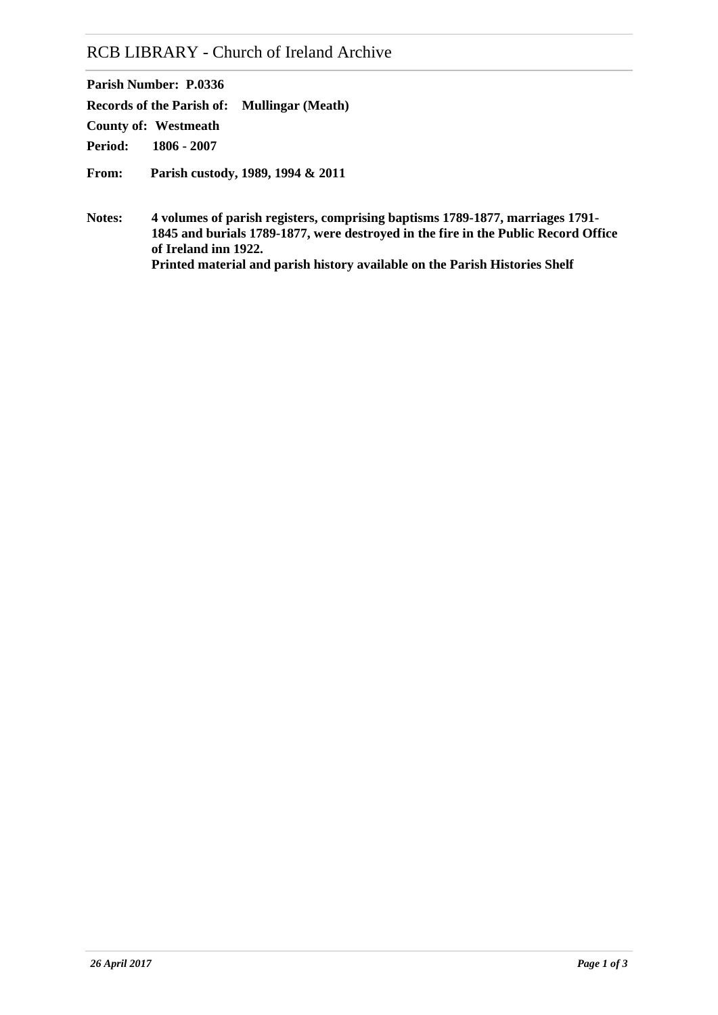# RCB LIBRARY - Church of Ireland Archive

**Parish Number: P.0336 Records of the Parish of: Mullingar (Meath) Period: 1806 - 2007 County of: Westmeath From: Parish custody, 1989, 1994 & 2011**

**Notes: 4 volumes of parish registers, comprising baptisms 1789-1877, marriages 1791- 1845 and burials 1789-1877, were destroyed in the fire in the Public Record Office of Ireland inn 1922. Printed material and parish history available on the Parish Histories Shelf**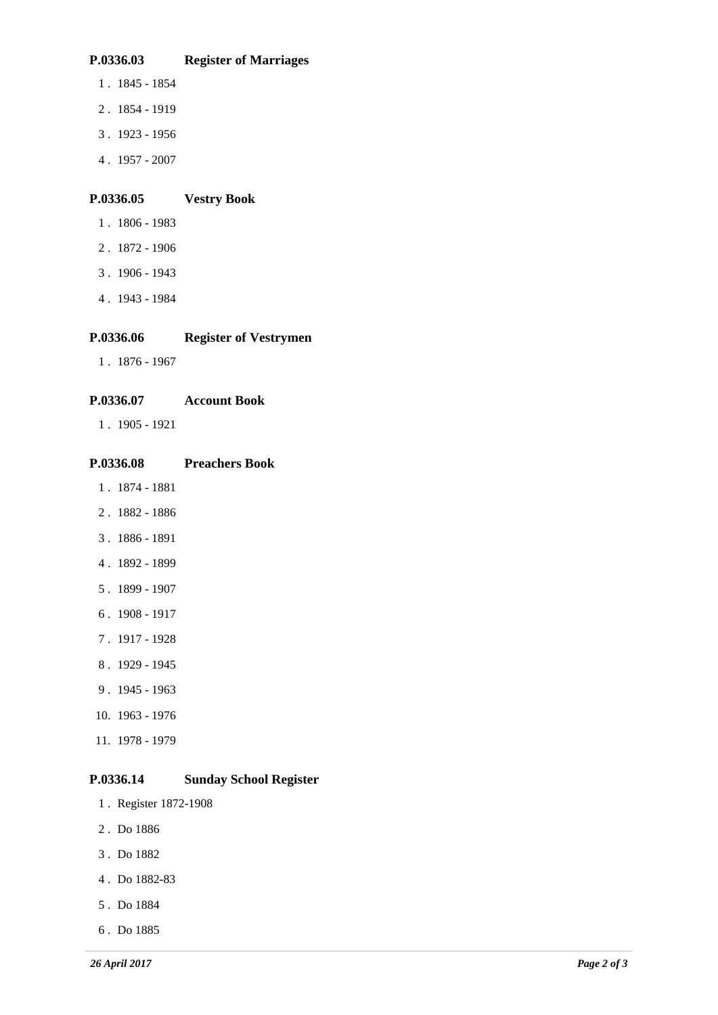# **P.0336.03 Register of Marriages**

- 1 . 1845 1854
- 2 . 1854 1919
- 3 . 1923 1956
- 4 . 1957 2007

# **P.0336.05 Vestry Book**

- 1 . 1806 1983
- 2 . 1872 1906
- 3 . 1906 1943
- 4 . 1943 1984

# **P.0336.06 Register of Vestrymen**

1 . 1876 - 1967

# **P.0336.07 Account Book**

1 . 1905 - 1921

# **P.0336.08 Preachers Book**

- 1 . 1874 1881
- 2 . 1882 1886
- 3 . 1886 1891
- 4 . 1892 1899
- 5 . 1899 1907
- 6 . 1908 1917
- 7 . 1917 1928
- 8 . 1929 1945
- 9 . 1945 1963
- 10. 1963 1976
- 11. 1978 1979

# **P.0336.14 Sunday School Register**

- 1 . Register 1872-1908
- 2 . Do 1886
- 3 . Do 1882
- 4 . Do 1882-83
- 5 . Do 1884
- 6 . Do 1885